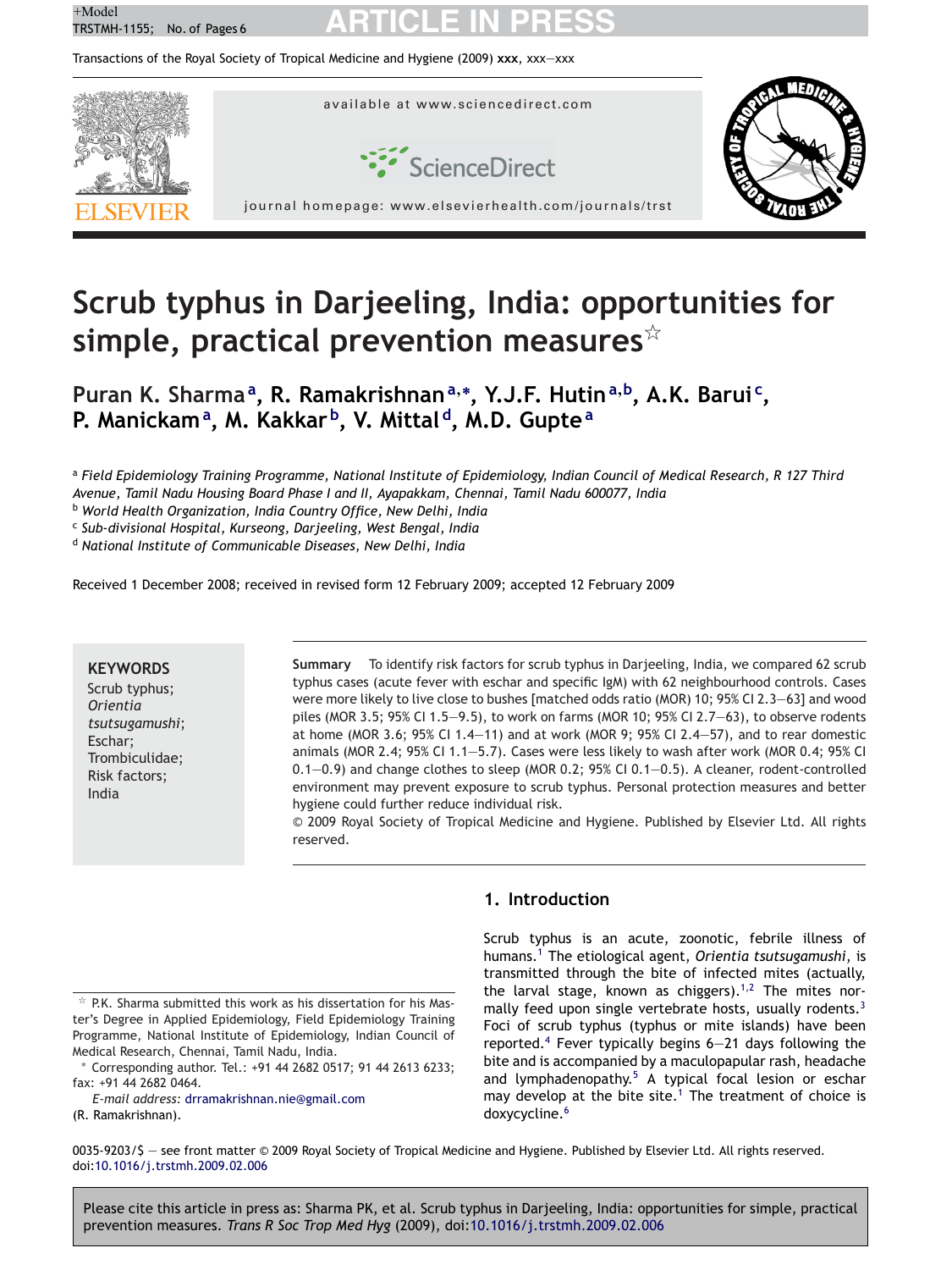# <sup>+Model</sup> TRSTMH-1155; No. of Pages 6 **ARTICLE IN PRESS**

Transactions of the Royal Society of Tropical Medicine and Hygiene (2009) **xxx**, xxx—xxx



# **Scrub typhus in Darjeeling, India: opportunities for simple, practical prevention measures**-

**Puran K. Sharma<sup>a</sup> , R. Ramakrishnan<sup>a</sup>,<sup>∗</sup> , Y.J.F. Hutin<sup>a</sup>,b, A.K. Barui <sup>c</sup> , P. Manickam<sup>a</sup> , M. Kakkar b, V. Mittal d, M.D. Guptea**

<sup>a</sup> *Field Epidemiology Training Programme, National Institute of Epidemiology, Indian Council of Medical Research, R 127 Third Avenue, Tamil Nadu Housing Board Phase I and II, Ayapakkam, Chennai, Tamil Nadu 600077, India*

<sup>b</sup> *World Health Organization, India Country Office, New Delhi, India*

<sup>c</sup> *Sub-divisional Hospital, Kurseong, Darjeeling, West Bengal, India*

<sup>d</sup> *National Institute of Communicable Diseases, New Delhi, India*

Received 1 December 2008; received in revised form 12 February 2009; accepted 12 February 2009

#### **KEYWORDS**

Scrub typhus; *Orientia tsutsugamushi*; Eschar; Trombiculidae; Risk factors; India

**Summary** To identify risk factors for scrub typhus in Darjeeling, India, we compared 62 scrub typhus cases (acute fever with eschar and specific IgM) with 62 neighbourhood controls. Cases were more likely to live close to bushes [matched odds ratio (MOR) 10; 95% CI 2.3—63] and wood piles (MOR 3.5; 95% CI 1.5—9.5), to work on farms (MOR 10; 95% CI 2.7—63), to observe rodents at home (MOR 3.6; 95% CI 1.4—11) and at work (MOR 9; 95% CI 2.4—57), and to rear domestic animals (MOR 2.4; 95% CI 1.1—5.7). Cases were less likely to wash after work (MOR 0.4; 95% CI 0.1—0.9) and change clothes to sleep (MOR 0.2; 95% CI 0.1—0.5). A cleaner, rodent-controlled environment may prevent exposure to scrub typhus. Personal protection measures and better hygiene could further reduce individual risk.

© 2009 Royal Society of Tropical Medicine and Hygiene. Published by Elsevier Ltd. All rights reserved.

### **1. Introduction**

Scrub typhus is an acute, zoonotic, febrile illness of humans.[1](#page-5-0) The etiological agent, *Orientia tsutsugamushi*, is transmitted through the bite of infected mites (actually, the larval stage, known as chiggers).<sup>[1,2](#page-5-0)</sup> The mites nor-mally feed upon single vertebrate hosts, usually rodents.<sup>[3](#page-5-0)</sup> Foci of scrub typhus (typhus or mite islands) have been reported.<sup>[4](#page-5-0)</sup> Fever typically begins  $6-21$  days following the bite and is accompanied by a maculopapular rash, headache and lymphadenopathy.<sup>[5](#page-5-0)</sup> A typical focal lesion or eschar may develop at the bite site.<sup>[1](#page-5-0)</sup> The treatment of choice is doxycycline.<sup>[6](#page-5-0)</sup>

0035-9203/\$ — see front matter © 2009 Royal Society of Tropical Medicine and Hygiene. Published by Elsevier Ltd. All rights reserved. doi[:10.1016/j.trstmh.2009.02.006](dx.doi.org/10.1016/j.trstmh.2009.02.006)

 $*$  P.K. Sharma submitted this work as his dissertation for his Master's Degree in Applied Epidemiology, Field Epidemiology Training Programme, National Institute of Epidemiology, Indian Council of Medical Research, Chennai, Tamil Nadu, India.

<sup>∗</sup> Corresponding author. Tel.: +91 44 2682 0517; 91 44 2613 6233; fax: +91 44 2682 0464.

*E-mail address:* [drramakrishnan.nie@gmail.com](mailto:drramakrishnan.nie@gmail.com)

<sup>(</sup>R. Ramakrishnan).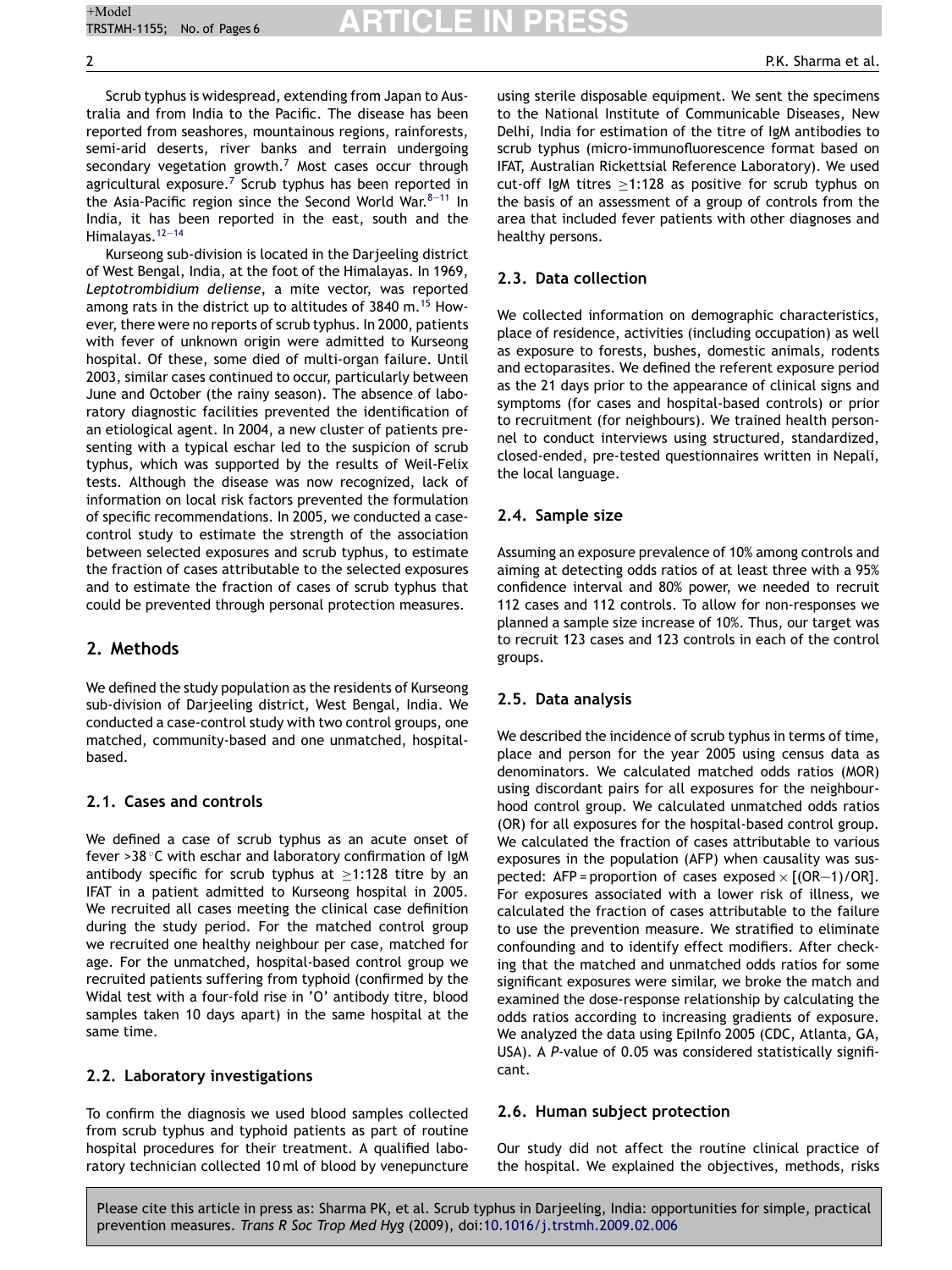Scrub typhus is widespread, extending from Japan to Australia and from India to the Pacific. The disease has been reported from seashores, mountainous regions, rainforests, semi-arid deserts, river banks and terrain undergoing secondary vegetation growth. $^7$  $^7$  Most cases occur through agricultural exposure.[7](#page-5-0) Scrub typhus has been reported in the Asia-Pacific region since the Second World War. $8-11$  In India, it has been reported in the east, south and the Himalayas.[12—14](#page-5-0)

Kurseong sub-division is located in the Darjeeling district of West Bengal, India, at the foot of the Himalayas. In 1969, *Leptotrombidium deliense*, a mite vector, was reported among rats in the district up to altitudes of 3840 m.<sup>[15](#page-5-0)</sup> However, there were no reports of scrub typhus. In 2000, patients with fever of unknown origin were admitted to Kurseong hospital. Of these, some died of multi-organ failure. Until 2003, similar cases continued to occur, particularly between June and October (the rainy season). The absence of laboratory diagnostic facilities prevented the identification of an etiological agent. In 2004, a new cluster of patients presenting with a typical eschar led to the suspicion of scrub typhus, which was supported by the results of Weil-Felix tests. Although the disease was now recognized, lack of information on local risk factors prevented the formulation of specific recommendations. In 2005, we conducted a casecontrol study to estimate the strength of the association between selected exposures and scrub typhus, to estimate the fraction of cases attributable to the selected exposures and to estimate the fraction of cases of scrub typhus that could be prevented through personal protection measures.

# **2. Methods**

We defined the study population as the residents of Kurseong sub-division of Darjeeling district, West Bengal, India. We conducted a case-control study with two control groups, one matched, community-based and one unmatched, hospitalbased.

### **2.1. Cases and controls**

We defined a case of scrub typhus as an acute onset of fever >38 ◦C with eschar and laboratory confirmation of IgM antibody specific for scrub typhus at  $\geq$ 1:128 titre by an IFAT in a patient admitted to Kurseong hospital in 2005. We recruited all cases meeting the clinical case definition during the study period. For the matched control group we recruited one healthy neighbour per case, matched for age. For the unmatched, hospital-based control group we recruited patients suffering from typhoid (confirmed by the Widal test with a four-fold rise in 'O' antibody titre, blood samples taken 10 days apart) in the same hospital at the same time.

# **2.2. Laboratory investigations**

To confirm the diagnosis we used blood samples collected from scrub typhus and typhoid patients as part of routine hospital procedures for their treatment. A qualified laboratory technician collected 10 ml of blood by venepuncture

using sterile disposable equipment. We sent the specimens to the National Institute of Communicable Diseases, New Delhi, India for estimation of the titre of IgM antibodies to scrub typhus (micro-immunofluorescence format based on IFAT, Australian Rickettsial Reference Laboratory). We used cut-off IgM titres ≥1:128 as positive for scrub typhus on the basis of an assessment of a group of controls from the area that included fever patients with other diagnoses and healthy persons.

# **2.3. Data collection**

We collected information on demographic characteristics, place of residence, activities (including occupation) as well as exposure to forests, bushes, domestic animals, rodents and ectoparasites. We defined the referent exposure period as the 21 days prior to the appearance of clinical signs and symptoms (for cases and hospital-based controls) or prior to recruitment (for neighbours). We trained health personnel to conduct interviews using structured, standardized, closed-ended, pre-tested questionnaires written in Nepali, the local language.

# **2.4. Sample size**

Assuming an exposure prevalence of 10% among controls and aiming at detecting odds ratios of at least three with a 95% confidence interval and 80% power, we needed to recruit 112 cases and 112 controls. To allow for non-responses we planned a sample size increase of 10%. Thus, our target was to recruit 123 cases and 123 controls in each of the control groups.

# **2.5. Data analysis**

We described the incidence of scrub typhus in terms of time, place and person for the year 2005 using census data as denominators. We calculated matched odds ratios (MOR) using discordant pairs for all exposures for the neighbourhood control group. We calculated unmatched odds ratios (OR) for all exposures for the hospital-based control group. We calculated the fraction of cases attributable to various exposures in the population (AFP) when causality was suspected: AFP = proportion of cases exposed  $\times$  [(OR-1)/OR]. For exposures associated with a lower risk of illness, we calculated the fraction of cases attributable to the failure to use the prevention measure. We stratified to eliminate confounding and to identify effect modifiers. After checking that the matched and unmatched odds ratios for some significant exposures were similar, we broke the match and examined the dose-response relationship by calculating the odds ratios according to increasing gradients of exposure. We analyzed the data using EpiInfo 2005 (CDC, Atlanta, GA, USA). A *P*-value of 0.05 was considered statistically significant.

### **2.6. Human subject protection**

Our study did not affect the routine clinical practice of the hospital. We explained the objectives, methods, risks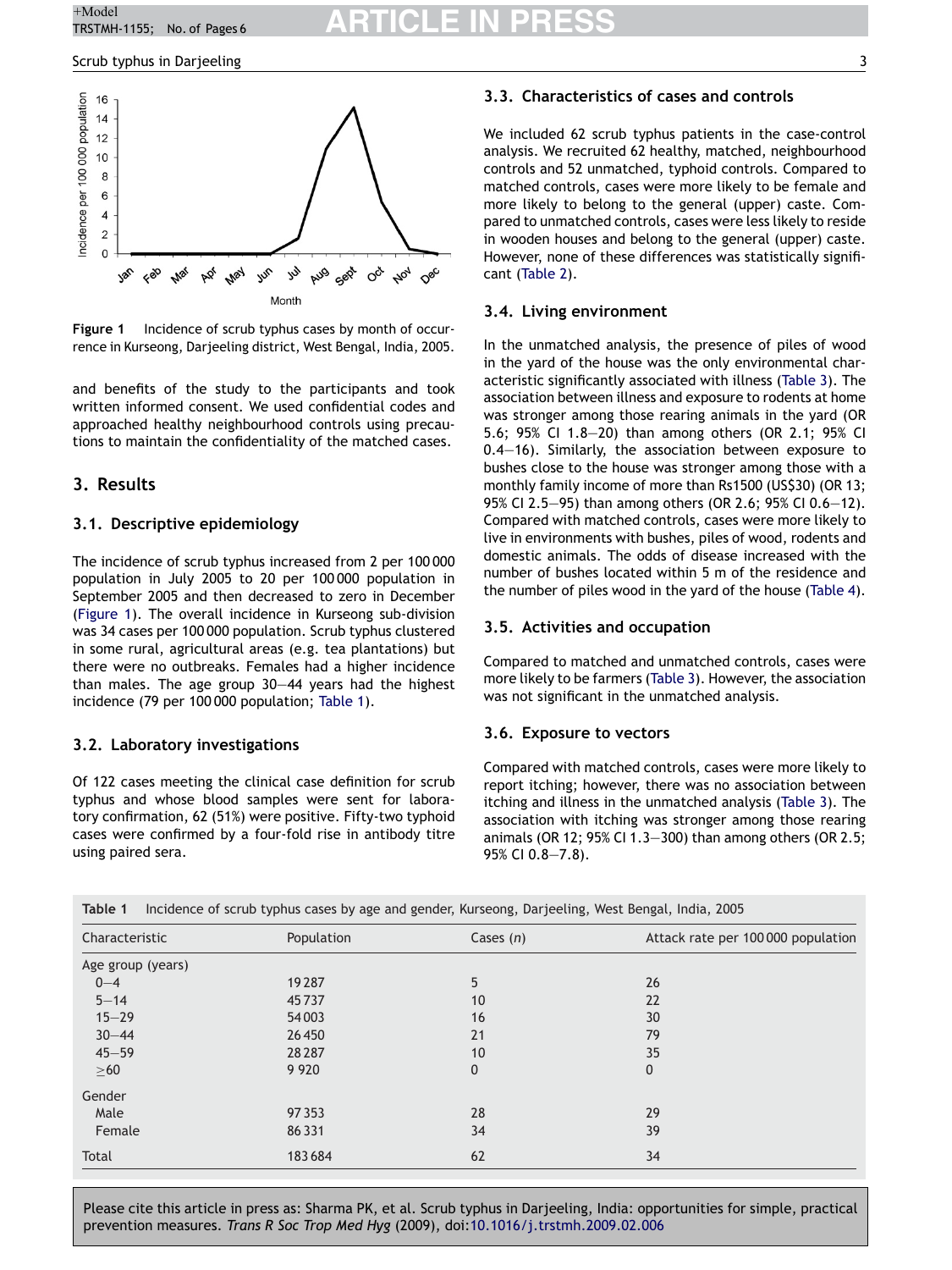# <sup>+Model</sup> TRSTMH-1155; No. of Pages 6 **ARTICLE IN PRESS**

#### Scrub typhus in Darjeeling 3



**Figure 1** Incidence of scrub typhus cases by month of occurrence in Kurseong, Darjeeling district, West Bengal, India, 2005.

and benefits of the study to the participants and took written informed consent. We used confidential codes and approached healthy neighbourhood controls using precautions to maintain the confidentiality of the matched cases.

### **3. Results**

#### **3.1. Descriptive epidemiology**

The incidence of scrub typhus increased from 2 per 100 000 population in July 2005 to 20 per 100 000 population in September 2005 and then decreased to zero in December (Figure 1). The overall incidence in Kurseong sub-division was 34 cases per 100 000 population. Scrub typhus clustered in some rural, agricultural areas (e.g. tea plantations) but there were no outbreaks. Females had a higher incidence than males. The age group 30—44 years had the highest incidence (79 per 100 000 population; Table 1).

#### **3.2. Laboratory investigations**

Of 122 cases meeting the clinical case definition for scrub typhus and whose blood samples were sent for laboratory confirmation, 62 (51%) were positive. Fifty-two typhoid cases were confirmed by a four-fold rise in antibody titre using paired sera.

#### **3.3. Characteristics of cases and controls**

We included 62 scrub typhus patients in the case-control analysis. We recruited 62 healthy, matched, neighbourhood controls and 52 unmatched, typhoid controls. Compared to matched controls, cases were more likely to be female and more likely to belong to the general (upper) caste. Compared to unmatched controls, cases were less likely to reside in wooden houses and belong to the general (upper) caste. However, none of these differences was statistically significant [\(Table 2\).](#page-3-0)

#### **3.4. Living environment**

In the unmatched analysis, the presence of piles of wood in the yard of the house was the only environmental characteristic significantly associated with illness ([Table 3\).](#page-3-0) The association between illness and exposure to rodents at home was stronger among those rearing animals in the yard (OR 5.6; 95% CI 1.8—20) than among others (OR 2.1; 95% CI 0.4—16). Similarly, the association between exposure to bushes close to the house was stronger among those with a monthly family income of more than Rs1500 (US\$30) (OR 13; 95% CI 2.5—95) than among others (OR 2.6; 95% CI 0.6—12). Compared with matched controls, cases were more likely to live in environments with bushes, piles of wood, rodents and domestic animals. The odds of disease increased with the number of bushes located within 5 m of the residence and the number of piles wood in the yard of the house ([Table 4\).](#page-3-0)

#### **3.5. Activities and occupation**

Compared to matched and unmatched controls, cases were more likely to be farmers ([Table 3\).](#page-3-0) However, the association was not significant in the unmatched analysis.

### **3.6. Exposure to vectors**

Compared with matched controls, cases were more likely to report itching; however, there was no association between itching and illness in the unmatched analysis ([Table 3\).](#page-3-0) The association with itching was stronger among those rearing animals (OR 12; 95% CI 1.3—300) than among others (OR 2.5; 95% CI 0.8—7.8).

| Table 1 |  |  | Incidence of scrub typhus cases by age and gender, Kurseong, Darjeeling, West Bengal, India, 2005 |
|---------|--|--|---------------------------------------------------------------------------------------------------|
|         |  |  |                                                                                                   |

| Characteristic    | Population | Cases $(n)$ | Attack rate per 100 000 population |
|-------------------|------------|-------------|------------------------------------|
| Age group (years) |            |             |                                    |
| $0 - 4$           | 19287      | 5           | 26                                 |
| $5 - 14$          | 45737      | 10          | 22                                 |
| $15 - 29$         | 54003      | 16          | 30                                 |
| $30 - 44$         | 26450      | 21          | 79                                 |
| $45 - 59$         | 28287      | 10          | 35                                 |
| $\geq 60$         | 9 9 2 0    | $\mathbf 0$ | $\mathbf 0$                        |
| Gender            |            |             |                                    |
| Male              | 97353      | 28          | 29                                 |
| Female            | 86331      | 34          | 39                                 |
| Total             | 183684     | 62          | 34                                 |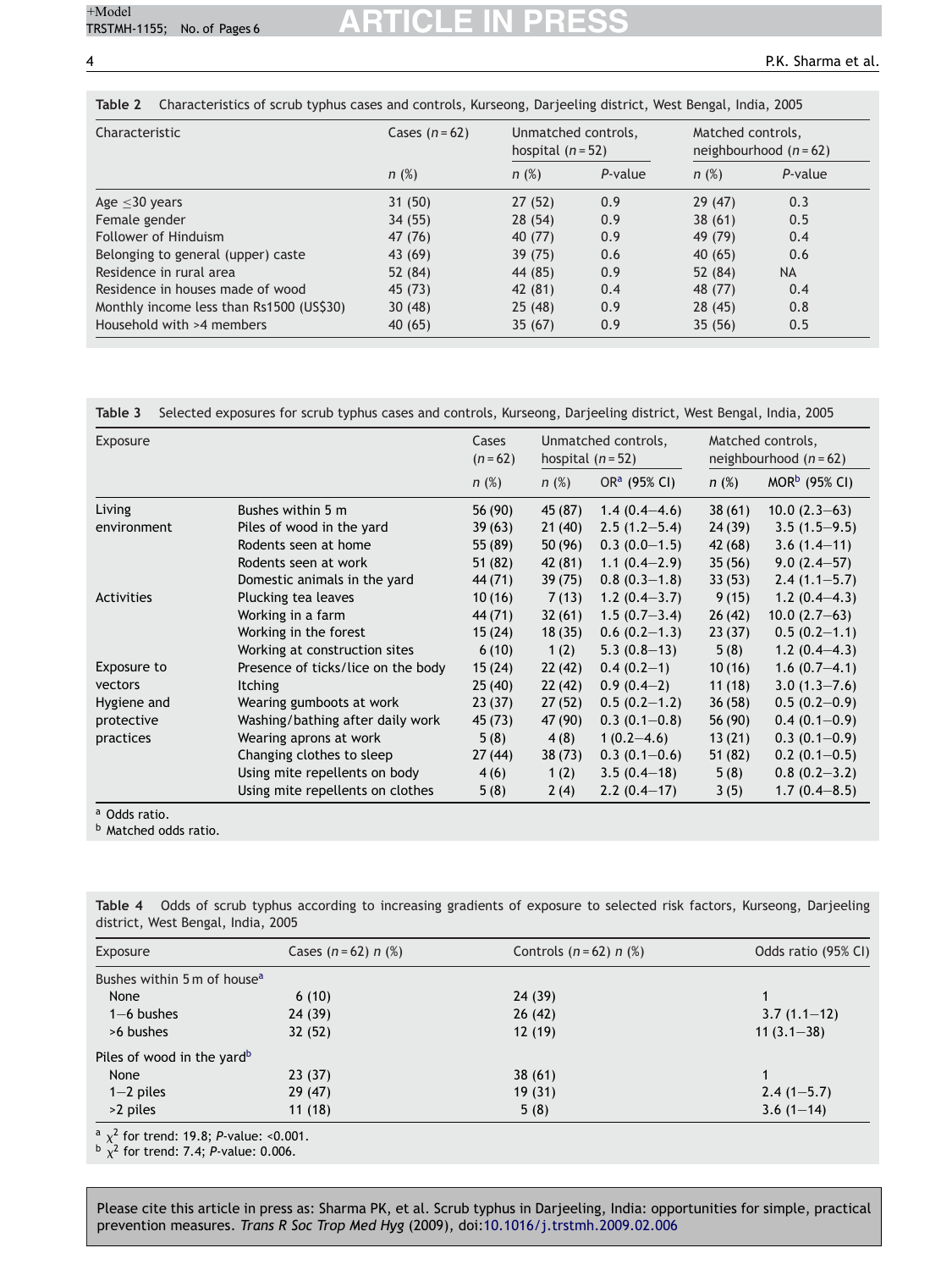# <span id="page-3-0"></span><sup>+Model</sup><br>TRSTMH-1155; No. of Pages 6 **ARTICLE IN PRESS**

# **4 P.K.** Sharma et al.

**Table 2** Characteristics of scrub typhus cases and controls, Kurseong, Darjeeling district, West Bengal, India, 2005

| Characteristic                           | Cases $(n=62)$ |         | Unmatched controls,<br>hospital $(n=52)$ |         | Matched controls,<br>neighbourhood $(n=62)$ |  |
|------------------------------------------|----------------|---------|------------------------------------------|---------|---------------------------------------------|--|
|                                          | n(%)           | n(%)    | P-value                                  | n(%)    | P-value                                     |  |
| Age $\leq$ 30 years                      | 31(50)         | 27(52)  | 0.9                                      | 29(47)  | 0.3                                         |  |
| Female gender                            | 34(55)         | 28(54)  | 0.9                                      | 38(61)  | 0.5                                         |  |
| Follower of Hinduism                     | 47 (76)        | 40 (77) | 0.9                                      | 49 (79) | 0.4                                         |  |
| Belonging to general (upper) caste       | 43 (69)        | 39 (75) | 0.6                                      | 40(65)  | 0.6                                         |  |
| Residence in rural area                  | 52 (84)        | 44 (85) | 0.9                                      | 52 (84) | <b>NA</b>                                   |  |
| Residence in houses made of wood         | 45 (73)        | 42 (81) | 0.4                                      | 48 (77) | 0.4                                         |  |
| Monthly income less than Rs1500 (US\$30) | 30(48)         | 25(48)  | 0.9                                      | 28(45)  | 0.8                                         |  |
| Household with >4 members                | 40(65)         | 35(67)  | 0.9                                      | 35(56)  | 0.5                                         |  |

# **Table 3** Selected exposures for scrub typhus cases and controls, Kurseong, Darjeeling district, West Bengal, India, 2005

| Exposure    |                                    | Cases<br>$(n=62)$ | Unmatched controls,<br>hospital $(n = 52)$ |                          | Matched controls,<br>neighbourhood $(n = 62)$ |                  |
|-------------|------------------------------------|-------------------|--------------------------------------------|--------------------------|-----------------------------------------------|------------------|
|             |                                    | $n$ (%)           | n(%)                                       | OR <sup>a</sup> (95% CI) | n(%)                                          | $MORb$ (95% CI)  |
| Living      | Bushes within 5 m                  | 56 (90)           | 45 (87)                                    | $1.4(0.4-4.6)$           | 38(61)                                        | $10.0(2.3-63)$   |
| environment | Piles of wood in the yard          | 39(63)            | 21(40)                                     | $2.5(1.2-5.4)$           | 24(39)                                        | $3.5(1.5-9.5)$   |
|             | Rodents seen at home               | 55 (89)           | 50(96)                                     | $0.3(0.0-1.5)$           | 42 (68)                                       | $3.6(1.4-11)$    |
|             | Rodents seen at work               | 51 (82)           | 42 (81)                                    | $1.1(0.4-2.9)$           | 35(56)                                        | $9.0(2.4 - 57)$  |
|             | Domestic animals in the yard       | 44 (71)           | 39(75)                                     | $0.8(0.3-1.8)$           | 33 (53)                                       | $2.4(1.1 - 5.7)$ |
| Activities  | Plucking tea leaves                | 10(16)            | 7(13)                                      | $1.2(0.4-3.7)$           | 9(15)                                         | $1.2(0.4-4.3)$   |
|             | Working in a farm                  | 44 (71)           | 32(61)                                     | $1.5(0.7-3.4)$           | 26(42)                                        | $10.0(2.7-63)$   |
|             | Working in the forest              | 15(24)            | 18(35)                                     | $0.6(0.2-1.3)$           | 23(37)                                        | $0.5(0.2-1.1)$   |
|             | Working at construction sites      | 6(10)             | 1(2)                                       | $5.3(0.8-13)$            | 5(8)                                          | $1.2(0.4-4.3)$   |
| Exposure to | Presence of ticks/lice on the body | 15 (24)           | 22(42)                                     | $0.4(0.2-1)$             | 10(16)                                        | $1.6(0.7-4.1)$   |
| vectors     | <b>Itching</b>                     | 25(40)            | 22(42)                                     | $0.9(0.4-2)$             | 11 (18)                                       | $3.0(1.3 - 7.6)$ |
| Hygiene and | Wearing gumboots at work           | 23(37)            | 27(52)                                     | $0.5(0.2-1.2)$           | 36 (58)                                       | $0.5(0.2-0.9)$   |
| protective  | Washing/bathing after daily work   | 45 (73)           | 47 (90)                                    | $0.3(0.1-0.8)$           | 56 (90)                                       | $0.4(0.1-0.9)$   |
| practices   | Wearing aprons at work             | 5(8)              | 4(8)                                       | $1(0.2-4.6)$             | 13(21)                                        | $0.3(0.1-0.9)$   |
|             | Changing clothes to sleep          | 27(44)            | 38 (73)                                    | $0.3(0.1-0.6)$           | 51 (82)                                       | $0.2(0.1-0.5)$   |
|             | Using mite repellents on body      | 4(6)              | 1(2)                                       | $3.5(0.4-18)$            | 5(8)                                          | $0.8(0.2 - 3.2)$ |
|             | Using mite repellents on clothes   | 5(8)              | 2(4)                                       | $2.2(0.4-17)$            | 3(5)                                          | $1.7(0.4 - 8.5)$ |

<sup>a</sup> Odds ratio.

**b** Matched odds ratio.

| Exposure                                | Cases $(n = 62) n$ (%) | Controls $(n=62)$ n $(\%)$ | Odds ratio (95% CI) |  |
|-----------------------------------------|------------------------|----------------------------|---------------------|--|
| Bushes within 5 m of house <sup>a</sup> |                        |                            |                     |  |
| None                                    | 6(10)                  | 24(39)                     |                     |  |
| $1-6$ bushes                            | 24(39)                 | 26(42)                     | $3.7(1.1-12)$       |  |
| >6 bushes                               | 32 (52)                | 12(19)                     | $11(3.1 - 38)$      |  |
| Piles of wood in the yard <sup>b</sup>  |                        |                            |                     |  |
| None                                    | 23(37)                 | 38(61)                     |                     |  |
| $1-2$ piles                             | 29(47)                 | 19(31)                     | $2.4(1 - 5.7)$      |  |
| >2 piles                                | 11(18)                 | 5(8)                       | $3.6(1-14)$         |  |

 $^{\rm b}$   $\chi^2$  for trend: 7.4; *P*-value: 0.006.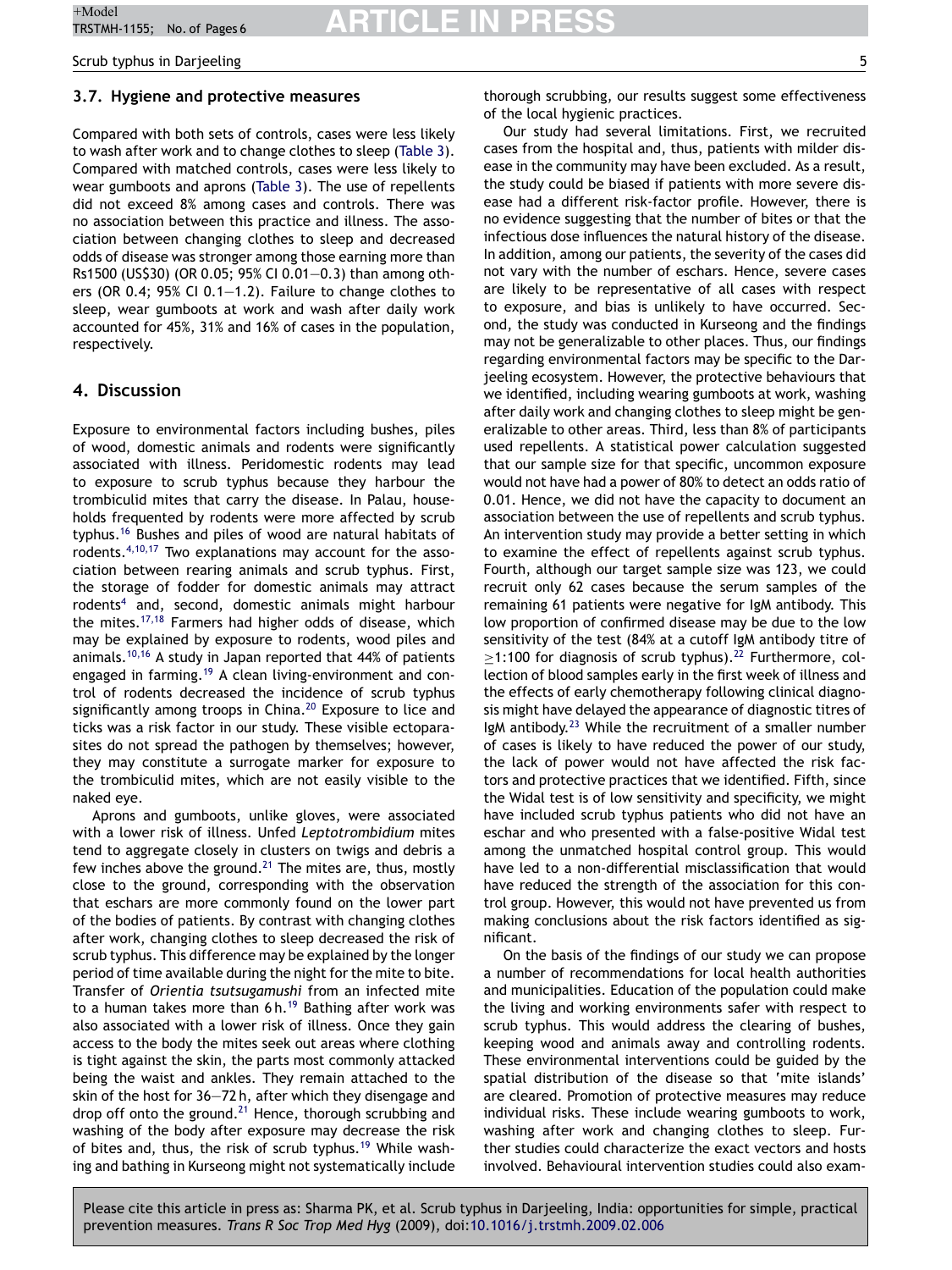# <sup>+Model</sup> TRSTMH-1155; No. of Pages 6 **ARTICLE IN PRESS**

# **3.7. Hygiene and protective measures**

Compared with both sets of controls, cases were less likely to wash after work and to change clothes to sleep ([Table 3\).](#page-3-0) Compared with matched controls, cases were less likely to wear gumboots and aprons [\(Table 3\).](#page-3-0) The use of repellents did not exceed 8% among cases and controls. There was no association between this practice and illness. The association between changing clothes to sleep and decreased odds of disease was stronger among those earning more than Rs1500 (US\$30) (OR 0.05; 95% CI 0.01—0.3) than among others (OR 0.4; 95% CI 0.1—1.2). Failure to change clothes to sleep, wear gumboots at work and wash after daily work accounted for 45%, 31% and 16% of cases in the population, respectively.

# **4. Discussion**

Exposure to environmental factors including bushes, piles of wood, domestic animals and rodents were significantly associated with illness. Peridomestic rodents may lead to exposure to scrub typhus because they harbour the trombiculid mites that carry the disease. In Palau, households frequented by rodents were more affected by scrub typhus.[16](#page-5-0) Bushes and piles of wood are natural habitats of rodents.[4,10,17](#page-5-0) Two explanations may account for the association between rearing animals and scrub typhus. First, the storage of fodder for domestic animals may attract rodents<sup>[4](#page-5-0)</sup> and, second, domestic animals might harbour the mites.[17,18](#page-5-0) Farmers had higher odds of disease, which may be explained by exposure to rodents, wood piles and animals.[10,16](#page-5-0) A study in Japan reported that 44% of patients engaged in farming.[19](#page-5-0) A clean living-environment and control of rodents decreased the incidence of scrub typhus significantly among troops in China.<sup>[20](#page-5-0)</sup> Exposure to lice and ticks was a risk factor in our study. These visible ectoparasites do not spread the pathogen by themselves; however, they may constitute a surrogate marker for exposure to the trombiculid mites, which are not easily visible to the naked eye.

Aprons and gumboots, unlike gloves, were associated with a lower risk of illness. Unfed *Leptotrombidium* mites tend to aggregate closely in clusters on twigs and debris a few inches above the ground.<sup>[21](#page-5-0)</sup> The mites are, thus, mostly close to the ground, corresponding with the observation that eschars are more commonly found on the lower part of the bodies of patients. By contrast with changing clothes after work, changing clothes to sleep decreased the risk of scrub typhus. This difference may be explained by the longer period of time available during the night for the mite to bite. Transfer of *Orientia tsutsugamushi* from an infected mite to a human takes more than  $6 h.^{19}$  $6 h.^{19}$  $6 h.^{19}$  Bathing after work was also associated with a lower risk of illness. Once they gain access to the body the mites seek out areas where clothing is tight against the skin, the parts most commonly attacked being the waist and ankles. They remain attached to the skin of the host for 36—72 h, after which they disengage and drop off onto the ground.<sup>[21](#page-5-0)</sup> Hence, thorough scrubbing and washing of the body after exposure may decrease the risk of bites and, thus, the risk of scrub typhus.<sup>[19](#page-5-0)</sup> While washing and bathing in Kurseong might not systematically include thorough scrubbing, our results suggest some effectiveness of the local hygienic practices.

Our study had several limitations. First, we recruited cases from the hospital and, thus, patients with milder disease in the community may have been excluded. As a result, the study could be biased if patients with more severe disease had a different risk-factor profile. However, there is no evidence suggesting that the number of bites or that the infectious dose influences the natural history of the disease. In addition, among our patients, the severity of the cases did not vary with the number of eschars. Hence, severe cases are likely to be representative of all cases with respect to exposure, and bias is unlikely to have occurred. Second, the study was conducted in Kurseong and the findings may not be generalizable to other places. Thus, our findings regarding environmental factors may be specific to the Darjeeling ecosystem. However, the protective behaviours that we identified, including wearing gumboots at work, washing after daily work and changing clothes to sleep might be generalizable to other areas. Third, less than 8% of participants used repellents. A statistical power calculation suggested that our sample size for that specific, uncommon exposure would not have had a power of 80% to detect an odds ratio of 0.01. Hence, we did not have the capacity to document an association between the use of repellents and scrub typhus. An intervention study may provide a better setting in which to examine the effect of repellents against scrub typhus. Fourth, although our target sample size was 123, we could recruit only 62 cases because the serum samples of the remaining 61 patients were negative for IgM antibody. This low proportion of confirmed disease may be due to the low sensitivity of the test (84% at a cutoff IgM antibody titre of ≥1:100 for diagnosis of scrub typhus).<sup>[22](#page-5-0)</sup> Furthermore, collection of blood samples early in the first week of illness and the effects of early chemotherapy following clinical diagnosis might have delayed the appearance of diagnostic titres of IgM antibody.<sup>[23](#page-5-0)</sup> While the recruitment of a smaller number of cases is likely to have reduced the power of our study, the lack of power would not have affected the risk factors and protective practices that we identified. Fifth, since the Widal test is of low sensitivity and specificity, we might have included scrub typhus patients who did not have an eschar and who presented with a false-positive Widal test among the unmatched hospital control group. This would have led to a non-differential misclassification that would have reduced the strength of the association for this control group. However, this would not have prevented us from making conclusions about the risk factors identified as significant.

On the basis of the findings of our study we can propose a number of recommendations for local health authorities and municipalities. Education of the population could make the living and working environments safer with respect to scrub typhus. This would address the clearing of bushes, keeping wood and animals away and controlling rodents. These environmental interventions could be guided by the spatial distribution of the disease so that 'mite islands' are cleared. Promotion of protective measures may reduce individual risks. These include wearing gumboots to work, washing after work and changing clothes to sleep. Further studies could characterize the exact vectors and hosts involved. Behavioural intervention studies could also exam-